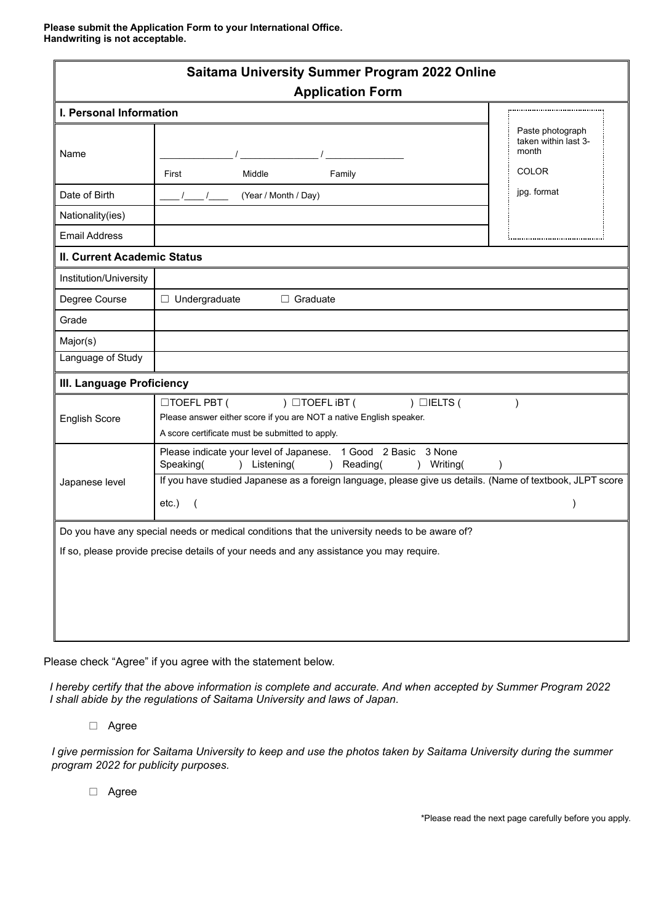**Please submit the Application Form to your International Office. Handwriting is not acceptable.**

| <b>Saitama University Summer Program 2022 Online</b><br><b>Application Form</b>               |                                                                                                                                                                                                                                                   |                                                                   |
|-----------------------------------------------------------------------------------------------|---------------------------------------------------------------------------------------------------------------------------------------------------------------------------------------------------------------------------------------------------|-------------------------------------------------------------------|
| I. Personal Information                                                                       |                                                                                                                                                                                                                                                   |                                                                   |
| Name                                                                                          | First<br>Middle<br>Family                                                                                                                                                                                                                         | Paste photograph<br>taken within last 3-<br>month<br><b>COLOR</b> |
| Date of Birth                                                                                 | (Year / Month / Day)                                                                                                                                                                                                                              | jpg. format                                                       |
| Nationality(ies)                                                                              |                                                                                                                                                                                                                                                   |                                                                   |
| <b>Email Address</b>                                                                          |                                                                                                                                                                                                                                                   |                                                                   |
| <b>II. Current Academic Status</b>                                                            |                                                                                                                                                                                                                                                   |                                                                   |
| Institution/University                                                                        |                                                                                                                                                                                                                                                   |                                                                   |
| Degree Course                                                                                 | $\Box$ Undergraduate<br>$\Box$ Graduate                                                                                                                                                                                                           |                                                                   |
| Grade                                                                                         |                                                                                                                                                                                                                                                   |                                                                   |
| Major(s)                                                                                      |                                                                                                                                                                                                                                                   |                                                                   |
| Language of Study                                                                             |                                                                                                                                                                                                                                                   |                                                                   |
| III. Language Proficiency                                                                     |                                                                                                                                                                                                                                                   |                                                                   |
| <b>English Score</b>                                                                          | □TOEFL PBT (<br>$)$ $\Box$ TOEFL iBT (<br>$)$ $\Box$ IELTS (<br>Please answer either score if you are NOT a native English speaker.<br>A score certificate must be submitted to apply.                                                            |                                                                   |
| Japanese level                                                                                | Please indicate your level of Japanese. 1 Good 2 Basic<br>3 None<br>Speaking(<br>) Listening(<br>Reading(<br>) Writing(<br>$\lambda$<br>If you have studied Japanese as a foreign language, please give us details. (Name of textbook, JLPT score |                                                                   |
|                                                                                               | etc.)<br>$\overline{ }$                                                                                                                                                                                                                           |                                                                   |
| Do you have any special needs or medical conditions that the university needs to be aware of? |                                                                                                                                                                                                                                                   |                                                                   |
| If so, please provide precise details of your needs and any assistance you may require.       |                                                                                                                                                                                                                                                   |                                                                   |
|                                                                                               |                                                                                                                                                                                                                                                   |                                                                   |
|                                                                                               |                                                                                                                                                                                                                                                   |                                                                   |
|                                                                                               |                                                                                                                                                                                                                                                   |                                                                   |
|                                                                                               |                                                                                                                                                                                                                                                   |                                                                   |

Please check "Agree" if you agree with the statement below.

*I hereby certify that the above information is complete and accurate. And when accepted by Summer Program 2022 I shall abide by the regulations of Saitama University and laws of Japan.*

□ Agree

*I give permission for Saitama University to keep and use the photos taken by Saitama University during the summer program 2022 for publicity purposes.*

□ Agree

\*Please read the next page carefully before you apply.